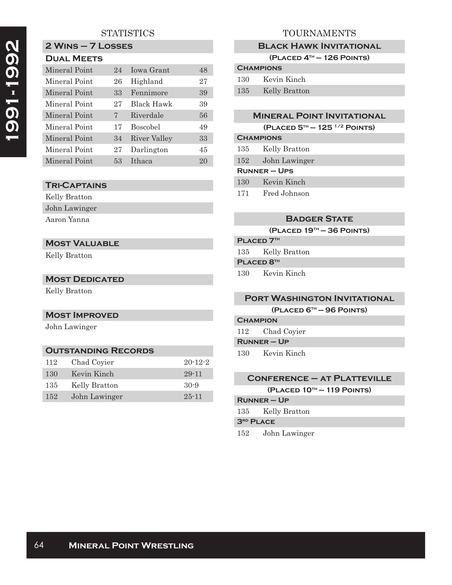# **STATISTICS**

# **2 Wins – 7 Losses**

| <b>DUAL MEETS</b> |    |                 |    |  |
|-------------------|----|-----------------|----|--|
| Mineral Point     | 24 | Jowa Grant      | 48 |  |
| Mineral Point     | 26 | Highland        | 27 |  |
| Mineral Point     | 33 | Fennimore       | 39 |  |
| Mineral Point     | 27 | Black Hawk      | 39 |  |
| Mineral Point     | 7  | Riverdale       | 56 |  |
| Mineral Point     | 17 | <b>Boscobel</b> | 49 |  |
| Mineral Point     | 34 | River Valley    | 33 |  |
| Mineral Point     | 27 | Darlington      | 45 |  |
| Mineral Point     | 53 | Ithaca          | 20 |  |
|                   |    |                 |    |  |

### **Tri-Captains**

| Kelly Bratton |
|---------------|
| John Lawinger |
| Aaron Yanna   |

# **Most Valuable**

Kelly Bratton

#### **MOST DEDICATED**

Kelly Bratton

#### **Most Improved**

John Lawinger

#### **Outstanding Records** 112 Chad Coyier 20-12-2

| <b>130</b> | Kevin Kinch   | 29-11     |
|------------|---------------|-----------|
| 135        | Kelly Bratton | $30-9$    |
| $152\pm$   | John Lawinger | $25 - 11$ |

# TOURNAMENTS

#### **Black Hawk Invitational**

**(Placed 4th — 126 Points)**

# **Champions**

| 130 | Kevin Kinch   |
|-----|---------------|
| 135 | Kelly Bratton |

#### **Mineral Point Invitational**

|  |  | (PLACED $5^{th} - 125^{1/2}$ POINTS) |
|--|--|--------------------------------------|
|--|--|--------------------------------------|

# **Champions** 135 Kelly Bratton 152 John Lawinger **Runner – Ups**

130 Kevin Kinch

171 Fred Johnson

### **Badger State**

**(Placed 19th — 36 Points)**

# **PLACED 7TH**

135 Kelly Bratton

**PLACED 8TH** 

130 Kevin Kinch

### **Port Washington Invitational**

**(Placed 6th — 96 Points)**

# **Champion** 112 Chad Coyier

**Runner – Up**

130 Kevin Kinch

# **Conference – at Platteville**

**(Placed 10th — 119 Points)**

# **Runner – Up**

135 Kelly Bratton

#### **3rd Place**

152 John Lawinger